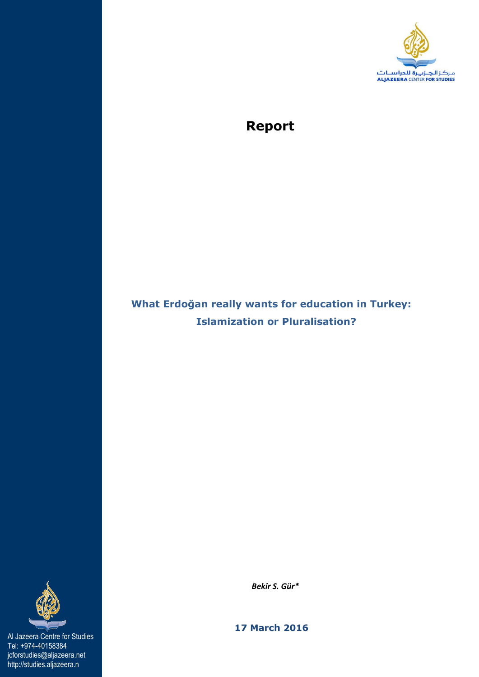

# **Report**

## **What Erdoğan really wants for education in Turkey: Islamization or Pluralisation?**



Al Jazeera Centre for Studies Tel: +974-40158384 jcforstudies@aljazeera.net http://studies.aljazeera.n

 *Bekir S. Gür\** 

 **17 March 2016**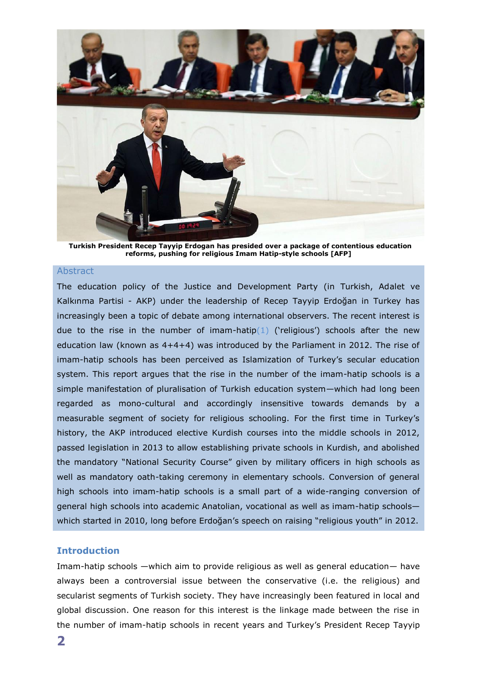

**Turkish President Recep Tayyip Erdogan has presided over a package of contentious education reforms, pushing for religious Imam Hatip-style schools [AFP]**

#### **Abstract**

The education policy of the Justice and Development Party (in Turkish, Adalet ve Kalkınma Partisi - AKP) under the leadership of Recep Tayyip Erdoğan in Turkey has increasingly been a topic of debate among international observers. The recent interest is due to the rise in the number of imam-hatip(1) ('religious') schools after the new education law (known as 4+4+4) was introduced by the Parliament in 2012. The rise of imam-hatip schools has been perceived as Islamization of Turkey's secular education system. This report argues that the rise in the number of the imam-hatip schools is a simple manifestation of pluralisation of Turkish education system—which had long been regarded as mono-cultural and accordingly insensitive towards demands by a measurable segment of society for religious schooling. For the first time in Turkey's history, the AKP introduced elective Kurdish courses into the middle schools in 2012, passed legislation in 2013 to allow establishing private schools in Kurdish, and abolished the mandatory "National Security Course" given by military officers in high schools as well as mandatory oath-taking ceremony in elementary schools. Conversion of general high schools into imam-hatip schools is a small part of a wide-ranging conversion of general high schools into academic Anatolian, vocational as well as imam-hatip schools which started in 2010, long before Erdoğan's speech on raising "religious youth" in 2012.

## **Introduction**

Imam-hatip schools —which aim to provide religious as well as general education— have always been a controversial issue between the conservative (i.e. the religious) and secularist segments of Turkish society. They have increasingly been featured in local and global discussion. One reason for this interest is the linkage made between the rise in the number of imam-hatip schools in recent years and Turkey's President Recep Tayyip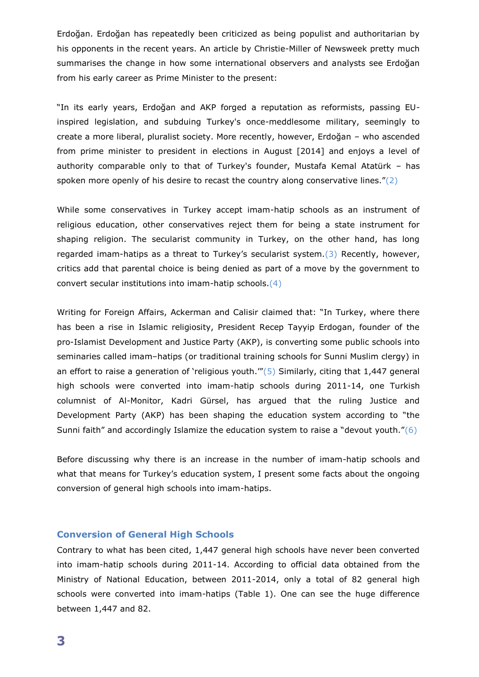Erdoğan. Erdoğan has repeatedly been criticized as being populist and authoritarian by his opponents in the recent years. An article by Christie-Miller of Newsweek pretty much summarises the change in how some international observers and analysts see Erdoğan from his early career as Prime Minister to the present:

"In its early years, Erdoğan and AKP forged a reputation as reformists, passing EUinspired legislation, and subduing Turkey's once-meddlesome military, seemingly to create a more liberal, pluralist society. More recently, however, Erdoğan – who ascended from prime minister to president in elections in August [2014] and enjoys a level of authority comparable only to that of Turkey's founder, Mustafa Kemal Atatürk – has spoken more openly of his desire to recast the country along conservative lines." $(2)$ 

While some conservatives in Turkey accept imam-hatip schools as an instrument of religious education, other conservatives reject them for being a state instrument for shaping religion. The secularist community in Turkey, on the other hand, has long regarded imam-hatips as a threat to Turkey's secularist system. $(3)$  Recently, however, critics add that parental choice is being denied as part of a move by the government to convert secular institutions into imam-hatip schools.(4)

Writing for Foreign Affairs, Ackerman and Calisir claimed that: "In Turkey, where there has been a rise in Islamic religiosity, President Recep Tayyip Erdogan, founder of the pro-Islamist Development and Justice Party (AKP), is converting some public schools into seminaries called imam–hatips (or traditional training schools for Sunni Muslim clergy) in an effort to raise a generation of 'religious youth." $(5)$  Similarly, citing that 1,447 general high schools were converted into imam-hatip schools during 2011-14, one Turkish columnist of Al-Monitor, Kadri Gürsel, has argued that the ruling Justice and Development Party (AKP) has been shaping the education system according to "the Sunni faith" and accordingly Islamize the education system to raise a "devout youth." $(6)$ 

Before discussing why there is an increase in the number of imam-hatip schools and what that means for Turkey's education system, I present some facts about the ongoing conversion of general high schools into imam-hatips.

#### **Conversion of General High Schools**

Contrary to what has been cited, 1,447 general high schools have never been converted into imam-hatip schools during 2011-14. According to official data obtained from the Ministry of National Education, between 2011-2014, only a total of 82 general high schools were converted into imam-hatips (Table 1). One can see the huge difference between 1,447 and 82.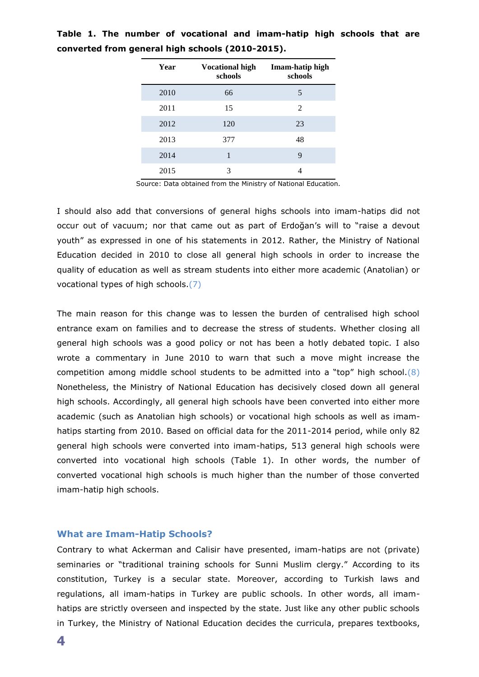| Year | <b>Vocational high</b><br>schools | Imam-hatip high<br>schools |
|------|-----------------------------------|----------------------------|
| 2010 | 66                                | 5                          |
| 2011 | 15                                | 2                          |
| 2012 | 120                               | 23                         |
| 2013 | 377                               | 48                         |
| 2014 | 1                                 | 9                          |
| 2015 | 3                                 |                            |

**Table 1. The number of vocational and imam-hatip high schools that are converted from general high schools (2010-2015).**

Source: Data obtained from the Ministry of National Education.

I should also add that conversions of general highs schools into imam-hatips did not occur out of vacuum; nor that came out as part of Erdoğan's will to "raise a devout youth" as expressed in one of his statements in 2012. Rather, the Ministry of National Education decided in 2010 to close all general high schools in order to increase the quality of education as well as stream students into either more academic (Anatolian) or vocational types of high schools.(7)

The main reason for this change was to lessen the burden of centralised high school entrance exam on families and to decrease the stress of students. Whether closing all general high schools was a good policy or not has been a hotly debated topic. I also wrote a commentary in June 2010 to warn that such a move might increase the competition among middle school students to be admitted into a "top" high school. $(8)$ Nonetheless, the Ministry of National Education has decisively closed down all general high schools. Accordingly, all general high schools have been converted into either more academic (such as Anatolian high schools) or vocational high schools as well as imamhatips starting from 2010. Based on official data for the 2011-2014 period, while only 82 general high schools were converted into imam-hatips, 513 general high schools were converted into vocational high schools (Table 1). In other words, the number of converted vocational high schools is much higher than the number of those converted imam-hatip high schools.

#### **What are Imam-Hatip Schools?**

Contrary to what Ackerman and Calisir have presented, imam-hatips are not (private) seminaries or "traditional training schools for Sunni Muslim clergy." According to its constitution, Turkey is a secular state. Moreover, according to Turkish laws and regulations, all imam-hatips in Turkey are public schools. In other words, all imamhatips are strictly overseen and inspected by the state. Just like any other public schools in Turkey, the Ministry of National Education decides the curricula, prepares textbooks,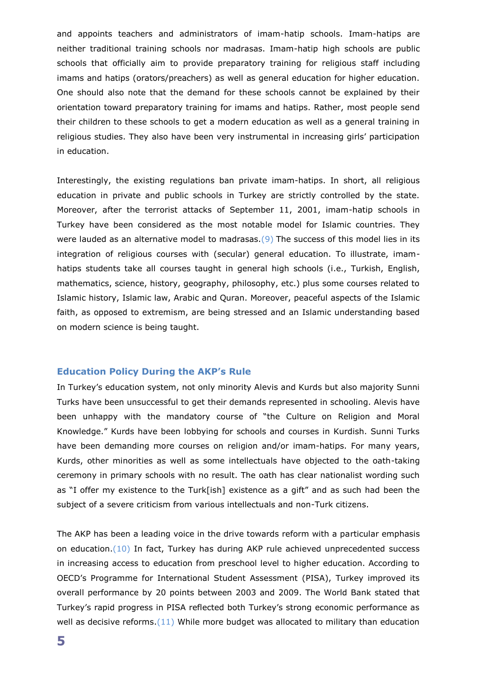and appoints teachers and administrators of imam-hatip schools. Imam-hatips are neither traditional training schools nor madrasas. Imam-hatip high schools are public schools that officially aim to provide preparatory training for religious staff including imams and hatips (orators/preachers) as well as general education for higher education. One should also note that the demand for these schools cannot be explained by their orientation toward preparatory training for imams and hatips. Rather, most people send their children to these schools to get a modern education as well as a general training in religious studies. They also have been very instrumental in increasing girls' participation in education.

Interestingly, the existing regulations ban private imam-hatips. In short, all religious education in private and public schools in Turkey are strictly controlled by the state. Moreover, after the terrorist attacks of September 11, 2001, imam-hatip schools in Turkey have been considered as the most notable model for Islamic countries. They were lauded as an alternative model to madrasas. $(9)$  The success of this model lies in its integration of religious courses with (secular) general education. To illustrate, imamhatips students take all courses taught in general high schools (i.e., Turkish, English, mathematics, science, history, geography, philosophy, etc.) plus some courses related to Islamic history, Islamic law, Arabic and Quran. Moreover, peaceful aspects of the Islamic faith, as opposed to extremism, are being stressed and an Islamic understanding based on modern science is being taught.

#### **Education Policy During the AKP's Rule**

In Turkey's education system, not only minority Alevis and Kurds but also majority Sunni Turks have been unsuccessful to get their demands represented in schooling. Alevis have been unhappy with the mandatory course of "the Culture on Religion and Moral Knowledge." Kurds have been lobbying for schools and courses in Kurdish. Sunni Turks have been demanding more courses on religion and/or imam-hatips. For many years, Kurds, other minorities as well as some intellectuals have objected to the oath-taking ceremony in primary schools with no result. The oath has clear nationalist wording such as "I offer my existence to the Turk[ish] existence as a gift" and as such had been the subject of a severe criticism from various intellectuals and non-Turk citizens.

The AKP has been a leading voice in the drive towards reform with a particular emphasis on education.(10) In fact, Turkey has during AKP rule achieved unprecedented success in increasing access to education from preschool level to higher education. According to OECD's Programme for International Student Assessment (PISA), Turkey improved its overall performance by 20 points between 2003 and 2009. The World Bank stated that Turkey's rapid progress in PISA reflected both Turkey's strong economic performance as well as decisive reforms. $(11)$  While more budget was allocated to military than education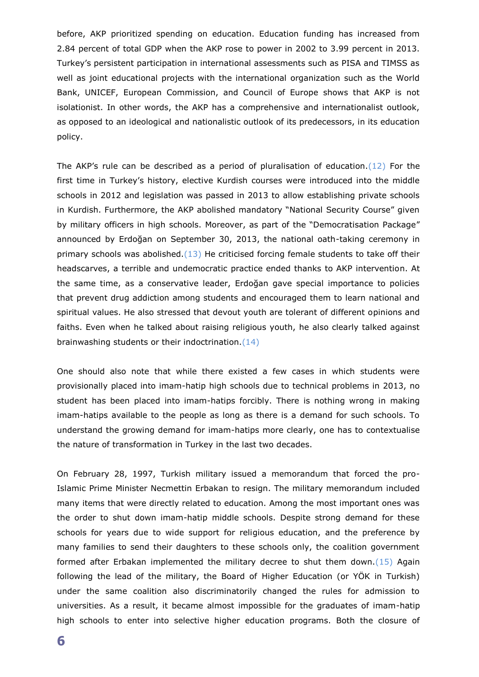before, AKP prioritized spending on education. Education funding has increased from 2.84 percent of total GDP when the AKP rose to power in 2002 to 3.99 percent in 2013. Turkey's persistent participation in international assessments such as PISA and TIMSS as well as joint educational projects with the international organization such as the World Bank, UNICEF, European Commission, and Council of Europe shows that AKP is not isolationist. In other words, the AKP has a comprehensive and internationalist outlook, as opposed to an ideological and nationalistic outlook of its predecessors, in its education policy.

The AKP's rule can be described as a period of pluralisation of education. $(12)$  For the first time in Turkey's history, elective Kurdish courses were introduced into the middle schools in 2012 and legislation was passed in 2013 to allow establishing private schools in Kurdish. Furthermore, the AKP abolished mandatory "National Security Course" given by military officers in high schools. Moreover, as part of the "Democratisation Package" announced by Erdoğan on September 30, 2013, the national oath-taking ceremony in primary schools was abolished. $(13)$  He criticised forcing female students to take off their headscarves, a terrible and undemocratic practice ended thanks to AKP intervention. At the same time, as a conservative leader, Erdoğan gave special importance to policies that prevent drug addiction among students and encouraged them to learn national and spiritual values. He also stressed that devout youth are tolerant of different opinions and faiths. Even when he talked about raising religious youth, he also clearly talked against brainwashing students or their indoctrination.(14)

One should also note that while there existed a few cases in which students were provisionally placed into imam-hatip high schools due to technical problems in 2013, no student has been placed into imam-hatips forcibly. There is nothing wrong in making imam-hatips available to the people as long as there is a demand for such schools. To understand the growing demand for imam-hatips more clearly, one has to contextualise the nature of transformation in Turkey in the last two decades.

On February 28, 1997, Turkish military issued a memorandum that forced the pro-Islamic Prime Minister Necmettin Erbakan to resign. The military memorandum included many items that were directly related to education. Among the most important ones was the order to shut down imam-hatip middle schools. Despite strong demand for these schools for years due to wide support for religious education, and the preference by many families to send their daughters to these schools only, the coalition government formed after Erbakan implemented the military decree to shut them down. $(15)$  Again following the lead of the military, the Board of Higher Education (or YÖK in Turkish) under the same coalition also discriminatorily changed the rules for admission to universities. As a result, it became almost impossible for the graduates of imam-hatip high schools to enter into selective higher education programs. Both the closure of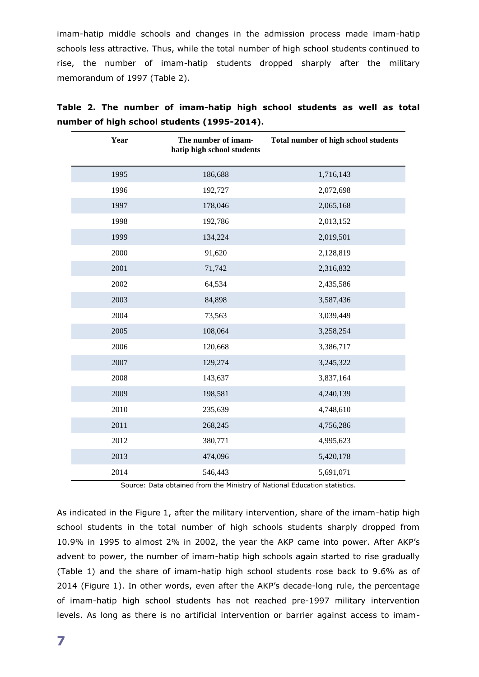imam-hatip middle schools and changes in the admission process made imam-hatip schools less attractive. Thus, while the total number of high school students continued to rise, the number of imam-hatip students dropped sharply after the military memorandum of 1997 (Table 2).

| Year | The number of imam-<br>hatip high school students | Total number of high school students |
|------|---------------------------------------------------|--------------------------------------|
| 1995 | 186,688                                           | 1,716,143                            |
| 1996 | 192,727                                           | 2,072,698                            |
| 1997 | 178,046                                           | 2,065,168                            |
| 1998 | 192,786                                           | 2,013,152                            |
| 1999 | 134,224                                           | 2,019,501                            |
| 2000 | 91,620                                            | 2,128,819                            |
| 2001 | 71,742                                            | 2,316,832                            |
| 2002 | 64,534                                            | 2,435,586                            |
| 2003 | 84,898                                            | 3,587,436                            |
| 2004 | 73,563                                            | 3,039,449                            |
| 2005 | 108,064                                           | 3,258,254                            |
| 2006 | 120,668                                           | 3,386,717                            |
| 2007 | 129,274                                           | 3,245,322                            |
| 2008 | 143,637                                           | 3,837,164                            |
| 2009 | 198,581                                           | 4,240,139                            |
| 2010 | 235,639                                           | 4,748,610                            |
| 2011 | 268,245                                           | 4,756,286                            |
| 2012 | 380,771                                           | 4,995,623                            |
| 2013 | 474,096                                           | 5,420,178                            |
| 2014 | 546,443                                           | 5,691,071                            |

**Table 2. The number of imam-hatip high school students as well as total number of high school students (1995-2014).**

Source: Data obtained from the Ministry of National Education statistics.

As indicated in the Figure 1, after the military intervention, share of the imam-hatip high school students in the total number of high schools students sharply dropped from 10.9% in 1995 to almost 2% in 2002, the year the AKP came into power. After AKP's advent to power, the number of imam-hatip high schools again started to rise gradually (Table 1) and the share of imam-hatip high school students rose back to 9.6% as of 2014 (Figure 1). In other words, even after the AKP's decade-long rule, the percentage of imam-hatip high school students has not reached pre-1997 military intervention levels. As long as there is no artificial intervention or barrier against access to imam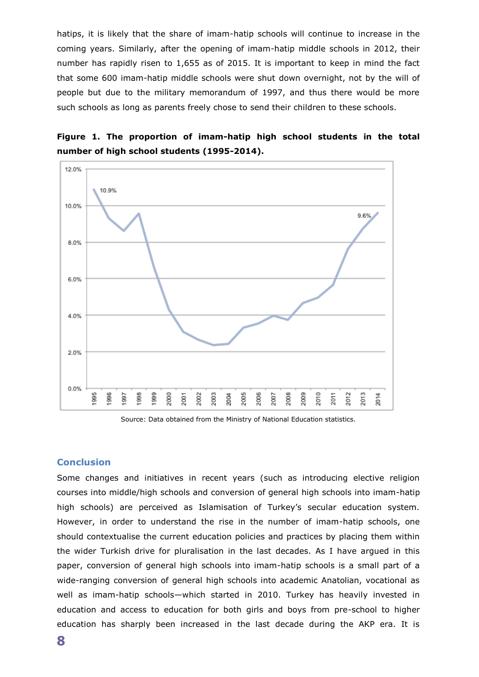hatips, it is likely that the share of imam-hatip schools will continue to increase in the coming years. Similarly, after the opening of imam-hatip middle schools in 2012, their number has rapidly risen to 1,655 as of 2015. It is important to keep in mind the fact that some 600 imam-hatip middle schools were shut down overnight, not by the will of people but due to the military memorandum of 1997, and thus there would be more such schools as long as parents freely chose to send their children to these schools.





Source: Data obtained from the Ministry of National Education statistics.

### **Conclusion**

Some changes and initiatives in recent years (such as introducing elective religion courses into middle/high schools and conversion of general high schools into imam-hatip high schools) are perceived as Islamisation of Turkey's secular education system. However, in order to understand the rise in the number of imam-hatip schools, one should contextualise the current education policies and practices by placing them within the wider Turkish drive for pluralisation in the last decades. As I have argued in this paper, conversion of general high schools into imam-hatip schools is a small part of a wide-ranging conversion of general high schools into academic Anatolian, vocational as well as imam-hatip schools—which started in 2010. Turkey has heavily invested in education and access to education for both girls and boys from pre-school to higher education has sharply been increased in the last decade during the AKP era. It is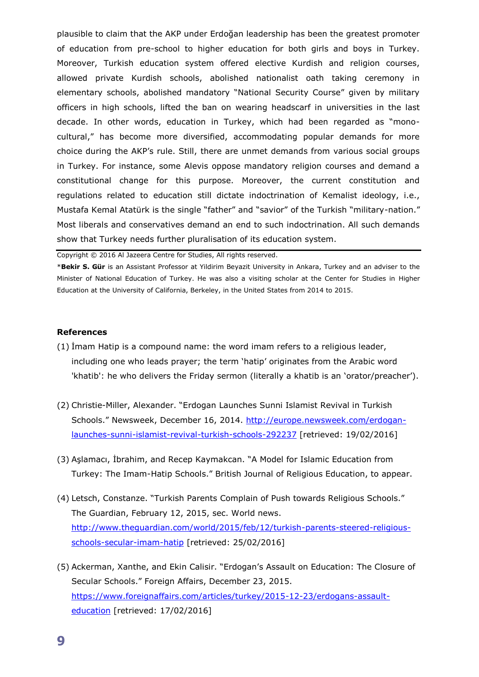plausible to claim that the AKP under Erdoğan leadership has been the greatest promoter of education from pre-school to higher education for both girls and boys in Turkey. Moreover, Turkish education system offered elective Kurdish and religion courses, allowed private Kurdish schools, abolished nationalist oath taking ceremony in elementary schools, abolished mandatory "National Security Course" given by military officers in high schools, lifted the ban on wearing headscarf in universities in the last decade. In other words, education in Turkey, which had been regarded as "monocultural," has become more diversified, accommodating popular demands for more choice during the AKP's rule. Still, there are unmet demands from various social groups in Turkey. For instance, some Alevis oppose mandatory religion courses and demand a constitutional change for this purpose. Moreover, the current constitution and regulations related to education still dictate indoctrination of Kemalist ideology, i.e., Mustafa Kemal Atatürk is the single "father" and "savior" of the Turkish "military-nation." Most liberals and conservatives demand an end to such indoctrination. All such demands show that Turkey needs further pluralisation of its education system.

Copyright © 2016 Al Jazeera Centre for Studies, All rights reserved.

\***Bekir S. Gür** is an Assistant Professor at Yildirim Beyazit University in Ankara, Turkey and an adviser to the Minister of National Education of Turkey. He was also a visiting scholar at the Center for Studies in Higher Education at the University of California, Berkeley, in the United States from 2014 to 2015.

#### **References**

- (1) İmam Hatip is a compound name: the word imam refers to a religious leader, including one who leads prayer; the term 'hatip' originates from the Arabic word 'khatib': he who delivers the Friday sermon (literally a khatib is an 'orator/preacher').
- (2) Christie-Miller, Alexander. "Erdogan Launches Sunni Islamist Revival in Turkish Schools." Newsweek, December 16, 2014. [http://europe.newsweek.com/erdogan](http://europe.newsweek.com/erdogan-launches-sunni-islamist-revival-turkish-schools-292237)[launches-sunni-islamist-revival-turkish-schools-292237](http://europe.newsweek.com/erdogan-launches-sunni-islamist-revival-turkish-schools-292237) [retrieved: 19/02/2016]
- (3) Aşlamacı, İbrahim, and Recep Kaymakcan. "A Model for Islamic Education from Turkey: The Imam-Hatip Schools." British Journal of Religious Education, to appear.
- (4) Letsch, Constanze. "Turkish Parents Complain of Push towards Religious Schools." The Guardian, February 12, 2015, sec. World news. [http://www.theguardian.com/world/2015/feb/12/turkish-parents-steered-religious](http://www.theguardian.com/world/2015/feb/12/turkish-parents-steered-religious-schools-secular-imam-hatip)[schools-secular-imam-hatip](http://www.theguardian.com/world/2015/feb/12/turkish-parents-steered-religious-schools-secular-imam-hatip) [retrieved: 25/02/2016]
- (5) Ackerman, Xanthe, and Ekin Calisir. "Erdogan's Assault on Education: The Closure of Secular Schools." Foreign Affairs, December 23, 2015. [https://www.foreignaffairs.com/articles/turkey/2015-12-23/erdogans-assault](https://www.foreignaffairs.com/articles/turkey/2015-12-23/erdogans-assault-education)[education](https://www.foreignaffairs.com/articles/turkey/2015-12-23/erdogans-assault-education) [retrieved: 17/02/2016]